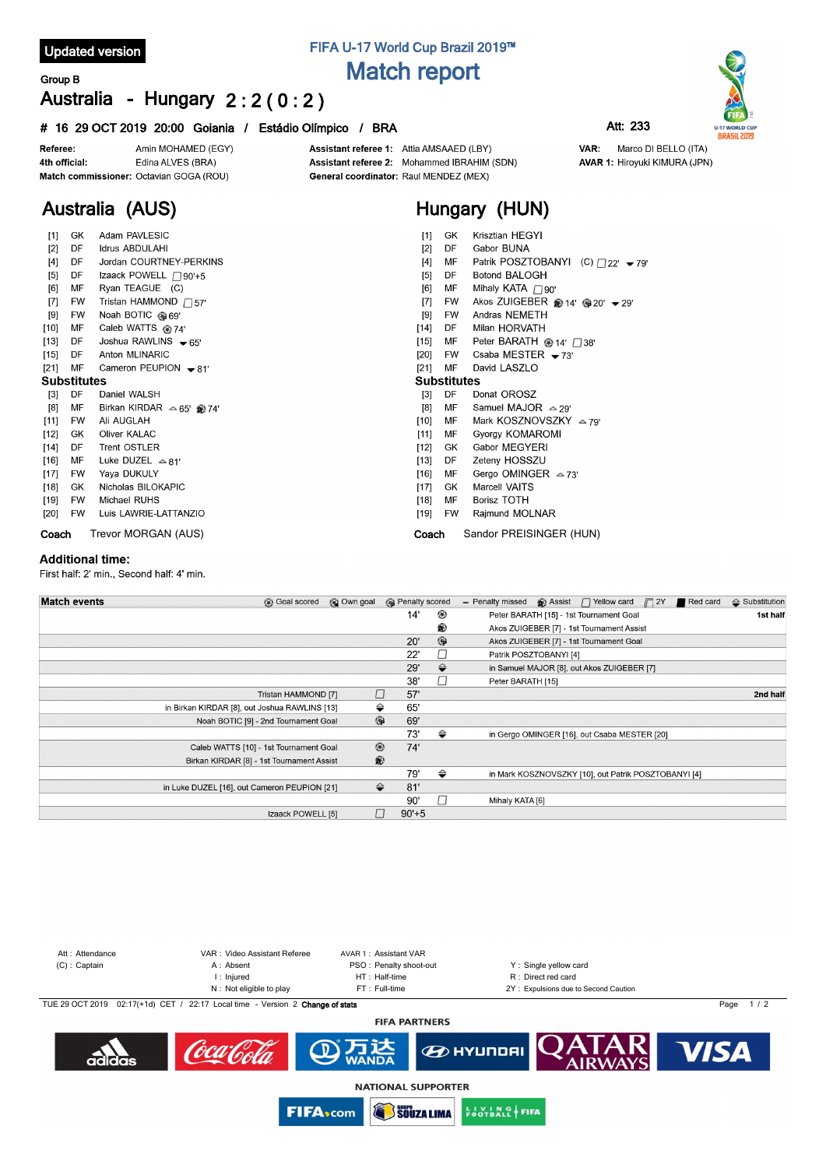### **Updated version**

# **FIFA U-17 World Cup Brazil 2019™ Match report**

## **Group B Australia - Hungary 2 : 2 ( 0 : 2 )**

#### **# 16 29 OCT 2019 20:00 Goiania / Estádio Olímpico / BRA Att: 233**



**Australia (AUS)**

Assistant referee 1: Attia AMSAAED (LBY) Assistant referee 2: Mohammed IBRAHIM (SDN) General coordinator: Raul MENDEZ (MEX)

# **Hungary (HUN)**

VAR:

Marco DI BELLO (ITA)

**AVAR 1: Hiroyuki KIMURA (JPN)** 

| $[1]$              | GK        | Adam PAVLESIC                     |        | GK        | Krisztian HEGYI                                     |
|--------------------|-----------|-----------------------------------|--------|-----------|-----------------------------------------------------|
| $[2]$              | DF        | Idrus ABDULAHI                    | [2]    | DF        | Gabor BUNA                                          |
| $[4]$              | DF        | Jordan COURTNEY-PERKINS           |        | МF        | Patrik POSZTOBANYI (C) $\bigcap_{22}$ - 79'         |
| $[5]$              | DF        | Izaack POWELL <sub>190'+5</sub>   |        | DF        | <b>Botond BALOGH</b>                                |
| [6]                | MF        | Ryan TEAGUE (C)                   | [6]    | МF        | Mihaly KATA $\Box$ 90'                              |
| $[7]$              | <b>FW</b> | Tristan HAMMOND $\Box$ 57'        | $[7]$  | FW        | Akos ZUIGEBER @ 14' @ 20' $\blacktriangleright$ 29' |
| [9]                | FW        | Noah BOTIC @69'                   | [9]    | FW        | Andras NEMETH                                       |
| [10]               | МF        | Caleb WATTS @ 74'                 | $[14]$ | DF        | Milan HORVATH                                       |
| $[13]$             | DF        | Joshua RAWLINS $\bullet$ 65'      | $[15]$ | MF        | Peter BARATH $@14'$ $\Box$ 38'                      |
| $[15]$             | DF        | Anton MLINARIC                    | [20]   | <b>FW</b> | Csaba MESTER $-73'$                                 |
| $[21]$             | MF        | Cameron PEUPION $\bullet$ 81'     | $[21]$ | MF        | David LASZLO                                        |
| <b>Substitutes</b> |           |                                   |        |           | <b>Substitutes</b>                                  |
| $[3]$              | DF        | Daniel WALSH                      | $[3]$  | DF        | Donat OROSZ                                         |
| [8]                | МF        | Birkan KIRDAR $\approx 65'$ @ 74' | [8]    | MF        | Samuel MAJOR $\approx$ 29'                          |
| $[11]$             | FW        | Ali AUGLAH                        | [10]   | МF        | Mark KOSZNOVSZKY $\sim$ 79'                         |
| $[12]$             | GK        | <b>Oliver KALAC</b>               | $[11]$ | MF        | Gyorgy KOMAROMI                                     |
| $[14]$             | DF        | <b>Trent OSTLER</b>               | $[12]$ | GK.       | Gabor MEGYERI                                       |
| $[16]$             | MF        | Luke DUZEL $\triangle 81'$        | $[13]$ | DF        | Zeteny HOSSZU                                       |
| $[17]$             | FW        | Yaya DUKULY                       | $[16]$ | МF        | Gergo OMINGER $\approx$ 73'                         |
| $[18]$             | GK        | Nicholas BILOKAPIC                | $[17]$ | GK        | <b>Marcell VAITS</b>                                |
| [19]               | FW        | Michael RUHS                      | [18]   | МF        | <b>Borisz TOTH</b>                                  |
| [20]               | FW        | Luis LAWRIE-LATTANZIO             | [19]   | FW        | Rajmund MOLNAR                                      |
| Coach              |           | Trevor MORGAN (AUS)               | Coach  |           | Sandor PREISINGER (HUN)                             |

#### **Additional time:**

First half: 2' min., Second half: 4' min.

| <b>Match events</b> | <b>B</b> Goal scored                          | @ Own goal     | <b>B</b> Penalty scored |               | $\bigcirc$ Assist $\bigcap$ Yellow card $\bigcap$ 2Y<br>Red card<br>- Penalty missed | $\Leftrightarrow$ Substitution |
|---------------------|-----------------------------------------------|----------------|-------------------------|---------------|--------------------------------------------------------------------------------------|--------------------------------|
|                     |                                               |                | 14'                     | ⊛             | Peter BARATH [15] - 1st Tournament Goal                                              | 1st half                       |
|                     |                                               |                |                         | ®             | Akos ZUIGEBER [7] - 1st Tournament Assist                                            |                                |
|                     |                                               |                | 20'                     | $\circledast$ | Akos ZUIGEBER [7] - 1st Tournament Goal                                              |                                |
|                     |                                               |                | 22'                     |               | Patrik POSZTOBANYI [4]                                                               |                                |
|                     |                                               |                | 29'                     | $\Rightarrow$ | in Samuel MAJOR [8], out Akos ZUIGEBER [7]                                           |                                |
|                     |                                               |                | 38'                     |               | Peter BARATH [15]                                                                    |                                |
|                     | Tristan HAMMOND [7]                           |                | 57'                     |               |                                                                                      | 2nd half                       |
|                     | in Birkan KIRDAR [8], out Joshua RAWLINS [13] |                | ⇔<br>65'                |               |                                                                                      |                                |
|                     | Noah BOTIC [9] - 2nd Tournament Goal          |                | $\circledR$<br>69'      |               |                                                                                      |                                |
|                     |                                               |                | 73'                     | ⇔             | in Gergo OMINGER [16], out Csaba MESTER [20]                                         |                                |
|                     | Caleb WATTS [10] - 1st Tournament Goal        | $^{\circledR}$ | 74'                     |               |                                                                                      |                                |
|                     | Birkan KIRDAR [8] - 1st Tournament Assist     | $\circledR$    |                         |               |                                                                                      |                                |
|                     |                                               |                | 79'                     | ⇔             | in Mark KOSZNOVSZKY [10], out Patrik POSZTOBANYI [4]                                 |                                |
|                     | in Luke DUZEL [16], out Cameron PEUPION [21]  |                | 81'<br>⇔                |               |                                                                                      |                                |
|                     |                                               |                | 90'                     |               | Mihaly KATA [6]                                                                      |                                |
|                     | Izaack POWELL [5]                             |                | $90' + 5$               |               |                                                                                      |                                |